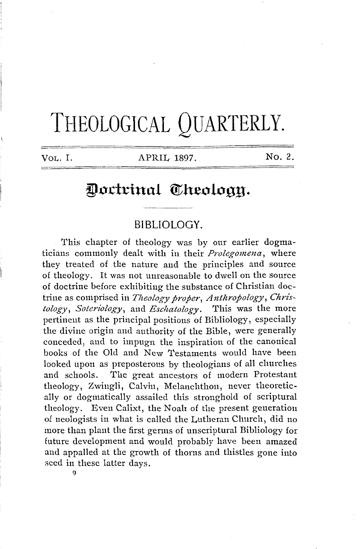# THEOLOGICAL QUARTERLY.

VOL. I. APRIL 1897. No. 2.

# Doctrinal Theology.

### **BIBLIOLOGY.**

This chapter of theology was by our earlier dogmaticians commonly dealt with in their *Prolegomena,* where they treated of the nature and the principles and source of theology. It was not unreasonable to dwell on the source of doctrine before exhibiting the substance of Christian doctrine as comprised in *Theology proper*, Anthropology, Chris*tology, Soteriology,* and *Eschatology.* This was the more pertinent as the principal positions of Bibliology, especially the divine origin and authority of the Bible, were generally conceded, and to impugn the inspiration of the canonical books of the Old and New Testaments would have been looked upon as preposterous by theologians of all churches and schools. The great ancestors of modern Protestant theology, Zwingli, Calvin, Melanchthon, never theoretically or dogmatically assailed this stronghold of scriptural theology. Even Calixt, the Noah of the present generation of neologists in what is called the Lutheran Church, did no more than plant the first germs of unscriptural Bibliology for future development and would probably have been amazed and appalled at the growth of thorns and thistles gone into seed in these latter days.

9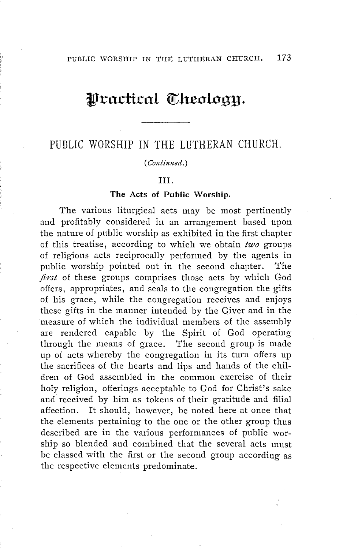## $\mathfrak{P}$  ractical **Theology.**

## PUBLIC WORSHIP IN THE LUTHERAN CHURCH.

#### (Continued.)

#### III.

#### **The Acts of Public Worship.**

The various liturgical acts may be most pertinently and profitably considered in an arrangement based upon the nature of public worship as exhibited in the first chapter of this treatise, according to which we obtain *two* groups of religious acts reciprocally performed by the agents in public worship pointed out in the second chapter. The *first* of these groups comprises those acts by which God offers, appropriates, and seals to the congregation the gifts of his grace, while the congregation receives and enjoys these gifts in the manner intended by the Giver and in the measure of which the individual members of the assembly are rendered capable by the Spirit of God operating through the means of grace. The second group is made up of acts whereby the congregation in its turn offers up the sacrifices of the hearts and lips and hands of the children of God assembled in the common exercise of their holy religion, offerings acceptable to God for Christ's sake and received by him as tokens of their gratitude and filial affection. It should, however, be noted here at once that the elements pertaining to the one or the other group thus described are in the various performances of public worship so blended and combined that the several acts must be classed with the first or the second group according as the respective elements predominate.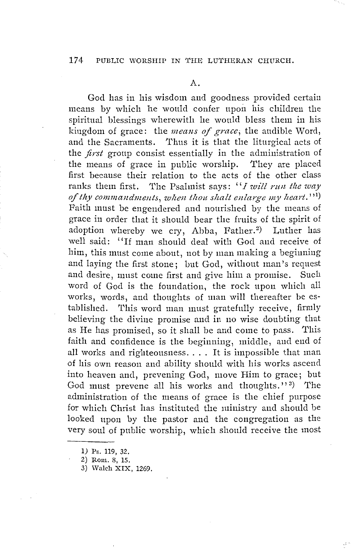A.

God has in his wisdom and goodness provided certain means by which he would confer upon his children the spiritual blessings wherewith he would bless them in his kingdom of grace: the *means of grace*; the audible Word, and the Sacraments. Thus it is that the liturgical acts of the *first* group consist essentially in the administration of the means of grace in public worship. They are placed first because their relation to the acts of the other class ranks them first. The Psalmist says: "*I will run the way* of thy commandments, when thou shalt enlarge my heart.''<sup>1</sup>) Faith must be engendered and nourished by the means of grace in order that it should bear the fruits of the spirit of adoption whereby we cry, Abba, Father.<sup>2</sup>) ) Luther has well said: "If man should deal with God and receive of him, this must come about, not by man making a beginning and laying the first stone; but God, without man's request and desire, must come first and give him a promise. Such word of God is the foundation, the rock upon which all works, words, and thoughts of man will thereafter be established. This word man must gratefully receive, firmly believing the divine promise and in no wise doubting that as He has promised, so it shall be and come to pass. This faith and confidence is the beginning, middle, and end of all works and righteousness.... It is impossible that man of his own reason and ability should with his works ascend into heaven and, prevening God, move Him to grace; but God must prevene all his works and thoughts."<sup>3)</sup> ) The administration of the means of grace is the chief purpose for which Christ has instituted the ministry and should be looked upon by the pastor and the congregation as the very soul of public worship, which should receive the most

l) Ps. 119, 32.

<sup>2)</sup> Rom. 8, 15.

<sup>3)</sup> Walch XIX, 1269.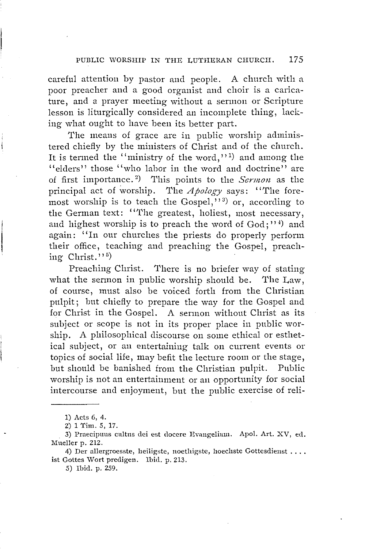careful attention by pastor and people. A church with a poor preacher and a good organist and choir is a caricature, and a prayer meeting without a sermon or Scripture lesson is liturgically considered an incomplete thing, lacking what ought to have been its better part.

The means of grace are in public worship administered chiefly by the ministers of Christ and of the church. It is termed the "ministry of the word,"<sup>1</sup>) and among the "elders" those "who labor in the word and doctrine" are of first importance. <sup>2</sup> ) This points to the *Sermon* as the principal act of worship. The *Apology* says: "The foremost worship is to teach the Gospel," $3$ ) or, according to the German text: ''The greatest, holiest, most necessary, and highest worship is to preach the word of  $God; ''$  and again: "In our churches the priests do properly perform their office, teaching and preaching the Gospel, preaching Christ.''<sup>5)</sup>

Preaching Christ. There is no briefer way of stating what the sermon in public worship should be. 'I'he Law, of course, must also be voiced forth from the Christian pulpit; but chiefly to prepare the way for the Gospel and for Christ in the Gospel. A sermon without Christ as its subject or scope is not in its proper place in public worship. A philosophical discourse on some ethical or esthetical subject, or an entertaining talk on current events or topics of social life, may befit the lecture room or the stage, but should be banished from the Christian pulpit. Public worship is not an entertainment or an opportunity for social intercourse and enjoyment, but the public exercise of reli-

4) Der allergroesste, heiligste, noethigste, hoechste Gottesdienst .... ist Gottes Wort predigen. Ibid. p. 213.

5) Ibid. p. 259.

<sup>1)</sup> Acts 6, 4.

<sup>2) 1</sup> Tim. 5, 17.

<sup>3)</sup> Praecipuus cultus dei est docere Evangelium. Apol. Art. XV, ed. Mueller p. 212.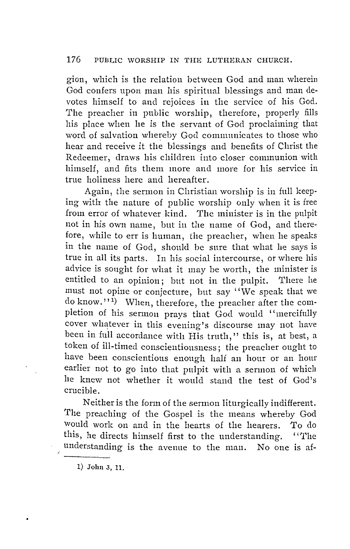gion, which is the relation between God and man wherein God confers upon man his spiritual blessings and man devotes himself to and rejoices in the service of his God. The preacher in public worship, therefore, properly fills his place when he is the servant of God proclaiming that word of salvation whereby God communicates to those who hear and receive it the blessings and benefits of Christ the Redeemer, draws his children into closer communion with himself, and fits them more and more for his service in true holiness here and hereafter.

Again, the sermon in Christian worship is in full keeping with the nature of public worship only when it is free from error of whatever kind. The minister is in the pulpit not in his own name, but in the name of God, and therefore, while to err is human, the preacher, when he speaks in the name of God, should be sure that what he says is true in all its parts. In his social intercourse, or where his advice is sought for what it may be worth, the minister is entitled to an opinion; but not in the pulpit. There he must not opine or conjecture, but say ''We speak that we do know.''<sup>1)</sup> When, therefore, the preacher after the completion of his sermon prays that God would ''mercifully cover whatever in this evening's discourse may not have been in full accordance with His truth," this is, at best, a token of ill-timed conscientiousness; the preacher ought to have been conscientious enough half an hour or an hour earlier not to go into that pulpit with a sermon of which he knew not whether it would stand the test of God's crucible.

Neither is the form of the sermon liturgically indifferent. The preaching of the Gospel is the means whereby God would work on and in the hearts of the hearers. To do this, he directs himself first to the understanding. "The understanding is the avenue to the man. No one is af-

1) John 3, 11.

/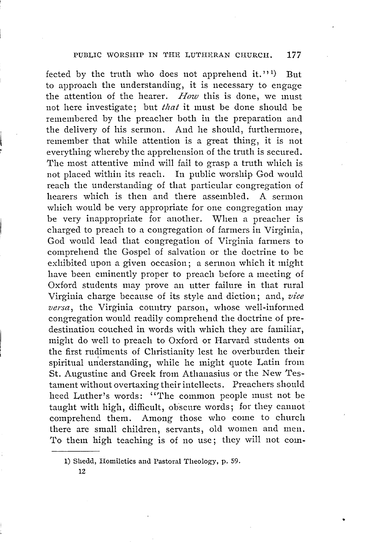fected by the truth who does not apprehend it."<sup>1</sup>) But to approach the understanding, it is necessary to engage the attention of the hearer. *How* this is done, we must not here investigate; but *that* it must be done should be remembered by the preacher both in the preparation and the delivery of his sermon. And he should, furthermore, remember that while attention is a great thing, it is not everything whereby the apprehension of the truth is secured. The most attentive mind will fail to grasp a truth which is not placed within its reach. In public worship God would reach the understanding of that particular congregation of hearers which is then and there assembled. A sermon which would be very appropriate for one congregation may be very inappropriate for another. When a preacher is charged to preach to a congregation of farmers in Virginia, God would lead that congregation of Virginia farmers to comprehend the Gospel of salvation or the doctrine to be exhibited upon a given occasion; a sermon which it might have been eminently proper to preach before a meeting of Oxford students may prove an utter failure in that rural Virginia charge because of its style and diction; and, *vice versa,* the Virginia country parson, whose well-informed congregation would readily comprehend the doctrine of predestination couched in words with which they are familiar, might do well to preach to Oxford or Harvard students on the first rudiments of Christianity lest he overburden their spiritual understanding, while he might quote Latin from St. Augustine and Greek from Athanasius or the New Testament without overtaxing their intellects. Preachers should heed Luther's words: ''The common people must not be taught with high, difficult, obscure words; for they cannot comprehend them. Among those who come to church there are small children, servants, old women and men. To them high teaching is of no use; they will not com-

12

<sup>1)</sup> Shedd, Homiletics and Pastoral Theology, p. 59.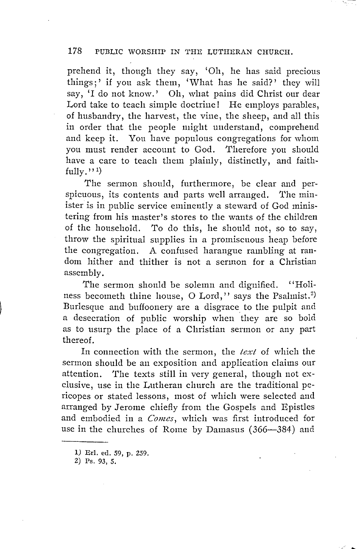prehend it, though they say, 'Oh, he has said precious things;' if you ask them, 'What has he said?' they will say, 'I do not know.' Oh, what pains did Christ our dear Lord take to teach simple doctrine! He employs parables, of husbandry, the harvest, the vine, the sheep, and all this in order that the people might understand, comprehend and keep it. You have populous congregations for whom you must render account to God. Therefore you should have a care to teach them plainly, distinctly, and faithfully. $\mathbf{y}^{(1)}$ 

The sermon should, furthermore, be clear and perspicuous, its contents and parts well arranged. The minister is in public service eminently a steward of God ministering from his master's stores to the wants of the children of the household. To do this, he should not, so to say, throw the spiritual supplies in a promiscuous heap before the congregation. A confused harangue rambling at random hither and thither is not a sermon for a Christian assembly.

The sermon should be solemn and dignified. "Holiness becometh thine house, O Lord," says the Psalmist.<sup>2)</sup> Burlesque and buffoonery are a disgrace to the pulpit and a desecration of public worship when they are so bold as to usurp the place of a Christian sermon or any part thereof.

In connection with the sermon, the *text* of which the sermon should be an exposition and application claims our attention. The texts still in very general, though not exclusive, use in the Lutheran church are the traditional pericopes or stated lessons, most of which were selected and arranged by Jerome chiefly from the Gospels and Epistles and embodied in a *Comes,* which was first introduced for use in the churches of Rome by Damasus (366-384) and

<sup>1)</sup> Erl. ed. 59, p. 259.

<sup>2)</sup> Ps. 93, *5.*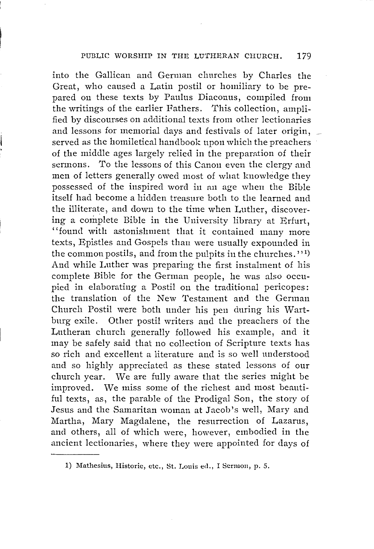into the Gallican and German churches by Charles the Great, who caused a Latin postil or homiliary to be prepared on these texts by Paulus Diaconus, compiled from the writings of the earlier Fathers. This collection, amplified by discourses on additional texts from other lectionaries and lessons for memorial days and festivals of later origin, \_ served as the homiletical handbook upon which the preachers of the middle ages largely relied in the preparation of their sermons. To the lessons of this Canon even the clergy and men of letters generally owed most of what knowledge they possessed of the inspired word in an age when the Bible itself had become a hidden treasure both to the learned and the illiterate, and down to the time when Luther, discovering a complete Bible in the University library at Erfurt, "found with astonishment that it contained many more texts, Epistles and Gospels than were usually expounded in the common postils, and from the pulpits in the churches."<sup>1)</sup> And while Luther was preparing the first instalment of his complete Bible for the German people, he was also occupied in elaborating a Postil on the traditional pericopes: the translation of the New Testament and the German Church Postil were both under his pen during his Wartburg exile. Other postil writers and the preachers of the Lutheran church generally followed his example, and it may be safely said that no collection of Scripture texts has so rich and excellent a literature and is so well understood and so highly appreciated as these stated lessons of our church year. We are fully aware that the series might be improved. We miss some of the richest and most beautiful texts, as, the parable of the Prodigal Son, the story of Jesus and the Samaritan woman at Jacob's well, Mary and Martha, Mary Magdalene, the resurrection of Lazarus, and others, all of which were, however, embodied in the ancient lectionaries, where they were appointed for days of

<sup>1)</sup> Mathesius, Historie, etc., St. Louis ed., I Sermon, p. 5.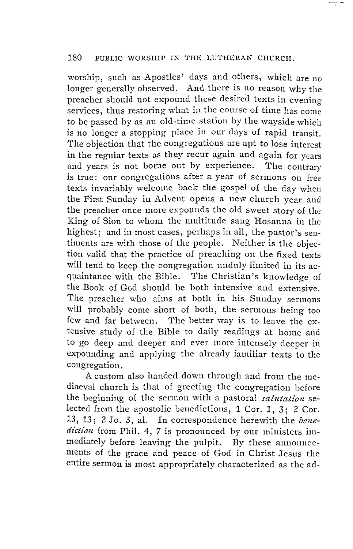worship, such as Apostles' days and others, which are no longer generally observed. And there is no reason why the preacher should not expound these desired texts in evening services, thus restoring what in the course of time has come to be passed by as an old-time station by the wayside which is no longer a stopping place in our days of rapid transit. The objection that the congregations are apt to lose interest in the regular texts as they recur again and again for years and years is not borne out by experience. 'I'he contrary is true: our congregations after a year of sermons on free texts invariably welcome back the gospel of the day when the First Sunday in Advent opens a new church year and the preacher once more expounds the old sweet story of the King of Sion to whom the multitude sang Hosanna in the highest; and in most cases, perhaps in all, the pastor's sentiments are with those of the people. Neither is the objection valid that the practice of preaching on the fixed texts will tend to keep the congregation unduly limited in its acquaintance with the Bible. The Christian's knowledge of the Book of God should be both intensive and extensive. The preacher who aims at both in his Sunday sermons will probably come short of both, the sermons being too few and far between. 'I'he better way is to leave the extensive study of the Bible to daily readings at home and to go deep and deeper and ever more intensely deeper in expounding and applying the already familiar texts to the congregation.

A custom also handed down through and from the mediaeval church is that of greeting the congregation before the beginning of the sermon with a pastoral *salutation* selected from the apostolic benedictions, 1 Cor. 1, 3; 2 Cor. 13, 13; 2 Jo. 3, al. In correspondence herewith the *benediction* from Phil. 4, 7 is pronounced by our ministers immediately before leaving the pulpit. By these announcements of the grace and peace of God in Christ Jesus the entire sermon is most appropriately characterized as the ad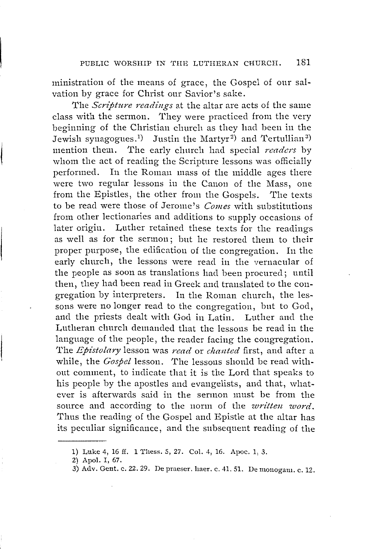ministration of the means of grace, the Gospel of our salvation by grace for Christ our Savior's sake.

The *Scripture readings* at the altar are acts of the same class with the sermon. They were practiced from the very beginning of the Christian church as they had been in the Jewish synagogues.<sup>1)</sup> Justin the Martyr<sup>2)</sup> and Tertullian<sup>3)</sup> mention them. The early church had special *readers* by whom the act of reading the Scripture lessons was officially performed. In the Roman mass of the middle ages there were two regular lessons in the Canon of the Mass, one from the Epistles, the other from the Gospels. The texts to be read were those of Jerome's *Comes* with substitutions from other lectionaries and additions to supply occasions of later origin. Luther retained these texts for the readings as well as for the sermon; but he restored them to their proper purpose, the edification of the congregation. In the early church, the lessons were read in the vernacular of the people as soon as translations had been procured; until then, they had been read in Greek and translated to the congregation by interpreters. In the Roman church, the lessons were no longer read to the congregation, but to God, and the priests dealt with God in Latin. Luther and the Lutheran church demanded that the lessons be read in the language of the people, the reader facing the congregation. 'l'he *Epistolary* lesson was *read* or *cltanted* first, and after a while, the *Gospel* lesson. The lessons should be read without comment, to indicate that it is the Lord that speaks to his people by the apostles and evangelists, and that, whatever is afterwards said in the sermon must be from the source and according to the norm of the *written word.*  Thus the reading of the Gospel and Epistle at the altar has its peculiar significance, and the subsequent reading of the

<sup>1)</sup> Luke 4, 16 ff. 1 Thess. 5, 27. Col. 4, 16. Apoc. 1, *3.* 

<sup>2)</sup> Apol. I, 67.

<sup>3)</sup> Adv. Gent. c. 22. 29. De praeser. haer. c. 41. 51. De monogam. c. 12.